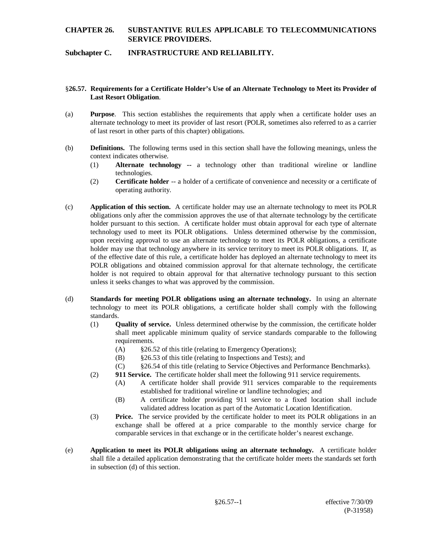# **CHAPTER 26. SUBSTANTIVE RULES APPLICABLE TO TELECOMMUNICATIONS SERVICE PROVIDERS.**

## **Subchapter C. INFRASTRUCTURE AND RELIABILITY.**

## §**26.57. Requirements for a Certificate Holder's Use of an Alternate Technology to Meet its Provider of Last Resort Obligation**.

- (a) **Purpose**. This section establishes the requirements that apply when a certificate holder uses an alternate technology to meet its provider of last resort (POLR, sometimes also referred to as a carrier of last resort in other parts of this chapter) obligations.
- (b) **Definitions.** The following terms used in this section shall have the following meanings, unless the context indicates otherwise.
	- (1) **Alternate technology --** a technology other than traditional wireline or landline technologies.
	- (2) **Certificate holder** -- a holder of a certificate of convenience and necessity or a certificate of operating authority.
- (c) **Application of this section.** A certificate holder may use an alternate technology to meet its POLR obligations only after the commission approves the use of that alternate technology by the certificate holder pursuant to this section. A certificate holder must obtain approval for each type of alternate technology used to meet its POLR obligations. Unless determined otherwise by the commission, upon receiving approval to use an alternate technology to meet its POLR obligations, a certificate holder may use that technology anywhere in its service territory to meet its POLR obligations. If, as of the effective date of this rule, a certificate holder has deployed an alternate technology to meet its POLR obligations and obtained commission approval for that alternate technology, the certificate holder is not required to obtain approval for that alternative technology pursuant to this section unless it seeks changes to what was approved by the commission.
- (d) **Standards for meeting POLR obligations using an alternate technology.** In using an alternate technology to meet its POLR obligations, a certificate holder shall comply with the following standards.
	- (1) **Quality of service.** Unless determined otherwise by the commission, the certificate holder shall meet applicable minimum quality of service standards comparable to the following requirements.
		- (A) §26.52 of this title (relating to Emergency Operations);
		- (B) §26.53 of this title (relating to Inspections and Tests); and
		- (C) §26.54 of this title (relating to Service Objectives and Performance Benchmarks).
	- (2) **911 Service.** The certificate holder shall meet the following 911 service requirements.
		- (A) A certificate holder shall provide 911 services comparable to the requirements established for traditional wireline or landline technologies; and
		- (B) A certificate holder providing 911 service to a fixed location shall include validated address location as part of the Automatic Location Identification.
	- (3) **Price.** The service provided by the certificate holder to meet its POLR obligations in an exchange shall be offered at a price comparable to the monthly service charge for comparable services in that exchange or in the certificate holder's nearest exchange.
- (e) **Application to meet its POLR obligations using an alternate technology.** A certificate holder shall file a detailed application demonstrating that the certificate holder meets the standards set forth in subsection (d) of this section.